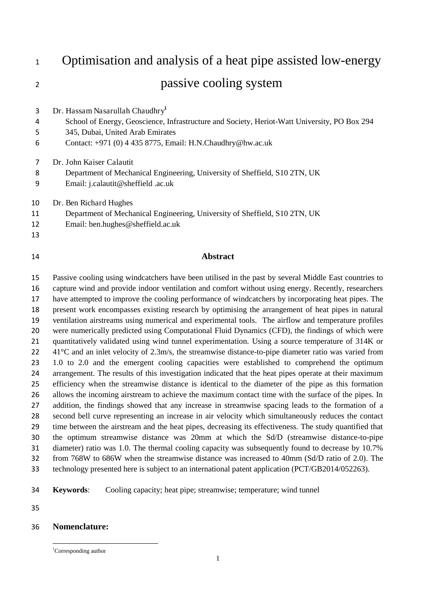Optimisation and analysis of a heat pipe assisted low-energy 2 passive cooling system Dr. Hassam Nasarullah Chaudhry**<sup>1</sup>** School of Energy, Geoscience, Infrastructure and Society, Heriot-Watt University, PO Box 294 345, Dubai, United Arab Emirates Contact: +971 (0) 4 435 8775, Email: H.N.Chaudhry@hw.ac.uk Dr. John Kaiser Calautit Department of Mechanical Engineering, University of Sheffield, S10 2TN, UK Email: j.calautit@sheffield .ac.uk Dr. Ben Richard Hughes Department of Mechanical Engineering, University of Sheffield, S10 2TN, UK Email: ben.hughes@sheffield.ac.uk **Abstract** 

 Passive cooling using windcatchers have been utilised in the past by several Middle East countries to capture wind and provide indoor ventilation and comfort without using energy. Recently, researchers have attempted to improve the cooling performance of windcatchers by incorporating heat pipes. The present work encompasses existing research by optimising the arrangement of heat pipes in natural ventilation airstreams using numerical and experimental tools. The airflow and temperature profiles were numerically predicted using Computational Fluid Dynamics (CFD), the findings of which were quantitatively validated using wind tunnel experimentation. Using a source temperature of 314K or  $41^{\circ}$ C and an inlet velocity of 2.3m/s, the streamwise distance-to-pipe diameter ratio was varied from 1.0 to 2.0 and the emergent cooling capacities were established to comprehend the optimum 24 arrangement. The results of this investigation indicated that the heat pipes operate at their maximum efficiency when the streamwise distance is identical to the diameter of the pipe as this formation allows the incoming airstream to achieve the maximum contact time with the surface of the pipes. In addition, the findings showed that any increase in streamwise spacing leads to the formation of a second bell curve representing an increase in air velocity which simultaneously reduces the contact time between the airstream and the heat pipes, decreasing its effectiveness. The study quantified that the optimum streamwise distance was 20mm at which the Sd/D (streamwise distance-to-pipe diameter) ratio was 1.0. The thermal cooling capacity was subsequently found to decrease by 10.7% from 768W to 686W when the streamwise distance was increased to 40mm (Sd/D ratio of 2.0). The technology presented here is subject to an international patent application (PCT/GB2014/052263).

- **Keywords**: Cooling capacity; heat pipe; streamwise; temperature; wind tunnel
- 

# **Nomenclature:**

 $\overline{a}$ 

<sup>&</sup>lt;sup>1</sup>Corresponding author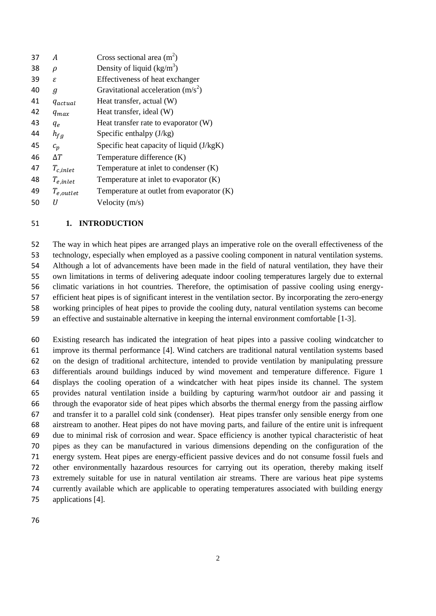| A              | Cross sectional area $(m2)$                 |
|----------------|---------------------------------------------|
| ρ              | Density of liquid $(kg/m3)$                 |
| ε              | Effectiveness of heat exchanger             |
| g              | Gravitational acceleration $(m/s^2)$        |
| <i>Aactual</i> | Heat transfer, actual (W)                   |
| $q_{max}$      | Heat transfer, ideal (W)                    |
| $q_e$          | Heat transfer rate to evaporator (W)        |
| $h_{fg}$       | Specific enthalpy $(J/kg)$                  |
| $c_p$          | Specific heat capacity of liquid (J/kgK)    |
| ΔΤ             | Temperature difference (K)                  |
| $T_{c,inlet}$  | Temperature at inlet to condenser $(K)$     |
| $T_{e,inlet}$  | Temperature at inlet to evaporator $(K)$    |
| $T_{e,outlet}$ | Temperature at outlet from evaporator $(K)$ |
|                | Velocity $(m/s)$                            |
|                |                                             |

# **1. INTRODUCTION**

 The way in which heat pipes are arranged plays an imperative role on the overall effectiveness of the technology, especially when employed as a passive cooling component in natural ventilation systems. Although a lot of advancements have been made in the field of natural ventilation, they have their own limitations in terms of delivering adequate indoor cooling temperatures largely due to external climatic variations in hot countries. Therefore, the optimisation of passive cooling using energy- efficient heat pipes is of significant interest in the ventilation sector. By incorporating the zero-energy working principles of heat pipes to provide the cooling duty, natural ventilation systems can become an effective and sustainable alternative in keeping the internal environment comfortable [1-3].

 Existing research has indicated the integration of heat pipes into a passive cooling windcatcher to improve its thermal performance [4]. Wind catchers are traditional natural ventilation systems based on the design of traditional architecture, intended to provide ventilation by manipulating pressure differentials around buildings induced by wind movement and temperature difference. Figure 1 displays the cooling operation of a windcatcher with heat pipes inside its channel. The system provides natural ventilation inside a building by capturing warm/hot outdoor air and passing it through the evaporator side of heat pipes which absorbs the thermal energy from the passing airflow and transfer it to a parallel cold sink (condenser). Heat pipes transfer only sensible energy from one airstream to another. Heat pipes do not have moving parts, and failure of the entire unit is infrequent due to minimal risk of corrosion and wear. Space efficiency is another typical characteristic of heat pipes as they can be manufactured in various dimensions depending on the configuration of the energy system. Heat pipes are energy-efficient passive devices and do not consume fossil fuels and other environmentally hazardous resources for carrying out its operation, thereby making itself extremely suitable for use in natural ventilation air streams. There are various heat pipe systems currently available which are applicable to operating temperatures associated with building energy applications [4].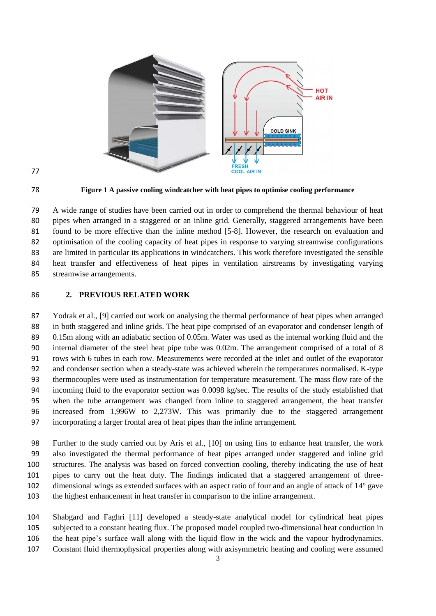



**Figure 1 A passive cooling windcatcher with heat pipes to optimise cooling performance** 

 A wide range of studies have been carried out in order to comprehend the thermal behaviour of heat pipes when arranged in a staggered or an inline grid. Generally, staggered arrangements have been found to be more effective than the inline method [5-8]. However, the research on evaluation and optimisation of the cooling capacity of heat pipes in response to varying streamwise configurations are limited in particular its applications in windcatchers. This work therefore investigated the sensible heat transfer and effectiveness of heat pipes in ventilation airstreams by investigating varying streamwise arrangements.

**2. PREVIOUS RELATED WORK** 

 Yodrak et al., [9] carried out work on analysing the thermal performance of heat pipes when arranged in both staggered and inline grids. The heat pipe comprised of an evaporator and condenser length of 0.15m along with an adiabatic section of 0.05m. Water was used as the internal working fluid and the internal diameter of the steel heat pipe tube was 0.02m. The arrangement comprised of a total of 8 rows with 6 tubes in each row. Measurements were recorded at the inlet and outlet of the evaporator and condenser section when a steady-state was achieved wherein the temperatures normalised. K-type thermocouples were used as instrumentation for temperature measurement. The mass flow rate of the incoming fluid to the evaporator section was 0.0098 kg/sec. The results of the study established that when the tube arrangement was changed from inline to staggered arrangement, the heat transfer increased from 1,996W to 2,273W. This was primarily due to the staggered arrangement incorporating a larger frontal area of heat pipes than the inline arrangement.

 Further to the study carried out by Aris et al., [10] on using fins to enhance heat transfer, the work also investigated the thermal performance of heat pipes arranged under staggered and inline grid structures. The analysis was based on forced convection cooling, thereby indicating the use of heat pipes to carry out the heat duty. The findings indicated that a staggered arrangement of three- dimensional wings as extended surfaces with an aspect ratio of four and an angle of attack of 14° gave the highest enhancement in heat transfer in comparison to the inline arrangement.

 Shabgard and Faghri [11] developed a steady-state analytical model for cylindrical heat pipes subjected to a constant heating flux. The proposed model coupled two-dimensional heat conduction in the heat pipe's surface wall along with the liquid flow in the wick and the vapour hydrodynamics. Constant fluid thermophysical properties along with axisymmetric heating and cooling were assumed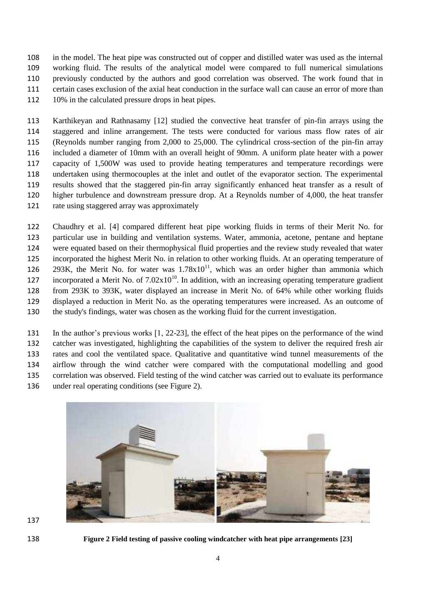in the model. The heat pipe was constructed out of copper and distilled water was used as the internal working fluid. The results of the analytical model were compared to full numerical simulations previously conducted by the authors and good correlation was observed. The work found that in certain cases exclusion of the axial heat conduction in the surface wall can cause an error of more than 112 10% in the calculated pressure drops in heat pipes.

 Karthikeyan and Rathnasamy [12] studied the convective heat transfer of pin-fin arrays using the staggered and inline arrangement. The tests were conducted for various mass flow rates of air (Reynolds number ranging from 2,000 to 25,000. The cylindrical cross-section of the pin-fin array included a diameter of 10mm with an overall height of 90mm. A uniform plate heater with a power capacity of 1,500W was used to provide heating temperatures and temperature recordings were undertaken using thermocouples at the inlet and outlet of the evaporator section. The experimental results showed that the staggered pin-fin array significantly enhanced heat transfer as a result of higher turbulence and downstream pressure drop. At a Reynolds number of 4,000, the heat transfer rate using staggered array was approximately

 Chaudhry et al. [4] compared different heat pipe working fluids in terms of their Merit No. for particular use in building and ventilation systems. Water, ammonia, acetone, pentane and heptane were equated based on their thermophysical fluid properties and the review study revealed that water incorporated the highest Merit No. in relation to other working fluids. At an operating temperature of 293K, the Merit No. for water was  $1.78 \times 10^{11}$ , which was an order higher than ammonia which 127 incorporated a Merit No. of  $7.02 \times 10^{10}$ . In addition, with an increasing operating temperature gradient from 293K to 393K, water displayed an increase in Merit No. of 64% while other working fluids displayed a reduction in Merit No. as the operating temperatures were increased. As an outcome of the study's findings, water was chosen as the working fluid for the current investigation.

 In the author's previous works [1, 22-23], the effect of the heat pipes on the performance of the wind catcher was investigated, highlighting the capabilities of the system to deliver the required fresh air rates and cool the ventilated space. Qualitative and quantitative wind tunnel measurements of the airflow through the wind catcher were compared with the computational modelling and good correlation was observed. Field testing of the wind catcher was carried out to evaluate its performance under real operating conditions (see Figure 2).



**Figure 2 Field testing of passive cooling windcatcher with heat pipe arrangements [23]**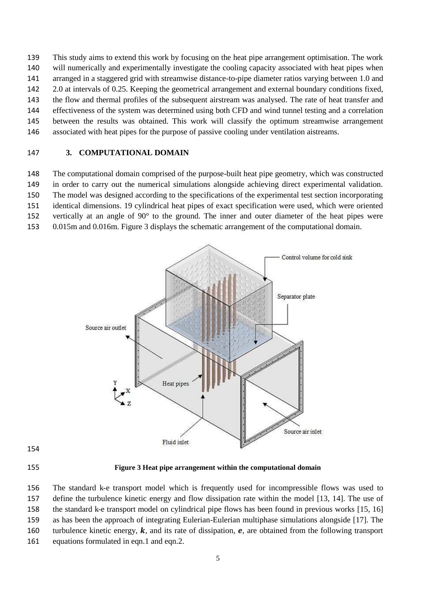This study aims to extend this work by focusing on the heat pipe arrangement optimisation. The work will numerically and experimentally investigate the cooling capacity associated with heat pipes when arranged in a staggered grid with streamwise distance-to-pipe diameter ratios varying between 1.0 and 2.0 at intervals of 0.25. Keeping the geometrical arrangement and external boundary conditions fixed, the flow and thermal profiles of the subsequent airstream was analysed. The rate of heat transfer and effectiveness of the system was determined using both CFD and wind tunnel testing and a correlation between the results was obtained. This work will classify the optimum streamwise arrangement associated with heat pipes for the purpose of passive cooling under ventilation aistreams.

# **3. COMPUTATIONAL DOMAIN**

 The computational domain comprised of the purpose-built heat pipe geometry, which was constructed in order to carry out the numerical simulations alongside achieving direct experimental validation.

The model was designed according to the specifications of the experimental test section incorporating

identical dimensions. 19 cylindrical heat pipes of exact specification were used, which were oriented

vertically at an angle of 90° to the ground. The inner and outer diameter of the heat pipes were

0.015m and 0.016m. Figure 3 displays the schematic arrangement of the computational domain.



**Figure 3 Heat pipe arrangement within the computational domain** 

 The standard k-e transport model which is frequently used for incompressible flows was used to define the turbulence kinetic energy and flow dissipation rate within the model [13, 14]. The use of the standard k-e transport model on cylindrical pipe flows has been found in previous works [15, 16] as has been the approach of integrating Eulerian-Eulerian multiphase simulations alongside [17]. The 160 turbulence kinetic energy,  $\bf{k}$ , and its rate of dissipation,  $\bf{e}$ , are obtained from the following transport 161 equations formulated in eqn.1 and eqn.2.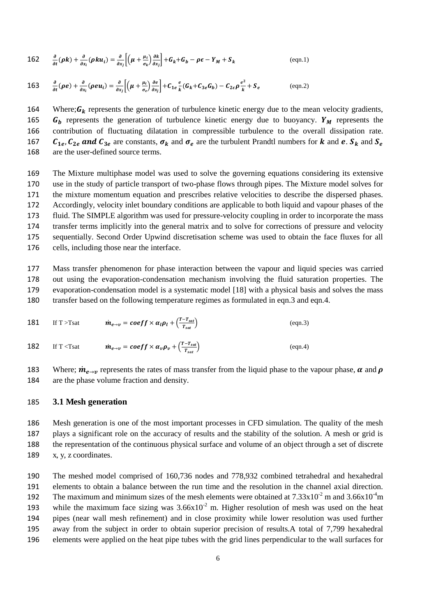162 
$$
\frac{\partial}{\partial t}(\rho k) + \frac{\partial}{\partial x_i}(\rho k u_i) = \frac{\partial}{\partial x_j} \left[ \left( \mu + \frac{\mu_t}{\sigma_k} \right) \frac{\partial k}{\partial x_j} \right] + G_k + G_b - \rho \epsilon - Y_M + S_k
$$
 (eqn.1)

163 
$$
\frac{\partial}{\partial t}(\rho e) + \frac{\partial}{\partial x_i}(\rho e u_i) = \frac{\partial}{\partial x_j} \left[ \left( \mu + \frac{\mu_i}{\sigma_e} \right) \frac{\partial e}{\partial x_j} \right] + C_{1e} \frac{e}{k} (G_k + C_{3e} G_b) - C_{2e} \rho \frac{e^2}{k} + S_e
$$
 (eqn.2)

164 Where;  $G_k$  represents the generation of turbulence kinetic energy due to the mean velocity gradients, 165  $G_h$  represents the generation of turbulence kinetic energy due to buoyancy.  $Y_M$  represents the 166 contribution of fluctuating dilatation in compressible turbulence to the overall dissipation rate. 167  $C_{1e}$ ,  $C_{2e}$  and  $C_{3e}$  are constants,  $\sigma_k$  and  $\sigma_e$  are the turbulent Prandtl numbers for  $k$  and  $e$ .  $S_k$  and  $S_e$  are the user-defined source terms. are the user-defined source terms.

 The Mixture multiphase model was used to solve the governing equations considering its extensive use in the study of particle transport of two-phase flows through pipes. The Mixture model solves for the mixture momentum equation and prescribes relative velocities to describe the dispersed phases. Accordingly, velocity inlet boundary conditions are applicable to both liquid and vapour phases of the fluid. The SIMPLE algorithm was used for pressure-velocity coupling in order to incorporate the mass transfer terms implicitly into the general matrix and to solve for corrections of pressure and velocity sequentially. Second Order Upwind discretisation scheme was used to obtain the face fluxes for all cells, including those near the interface.

 Mass transfer phenomenon for phase interaction between the vapour and liquid species was carried out using the evaporation-condensation mechanism involving the fluid saturation properties. The evaporation-condensation model is a systematic model [18] with a physical basis and solves the mass transfer based on the following temperature regimes as formulated in eqn.3 and eqn.4.

181 If T > Tsat 
$$
\dot{m}_{e\to v} = coeff \times \alpha_l \rho_l + (\frac{T-T_{sat}}{T_{sat}})
$$
 (eqn.3)  
182 If T < Tsat  $\dot{m}_{e\to v} = coeff \times \alpha_v \rho_v + (\frac{T-T_{sat}}{T_{sat}})$  (eqn.4)

Where;  $\dot{m}_{e\to\nu}$  represents the rates of mass transfer from the liquid phase to the vapour phase,  $\alpha$  and  $\rho$  are the phase volume fraction and density. are the phase volume fraction and density.

#### 185 **3.1 Mesh generation**

 Mesh generation is one of the most important processes in CFD simulation. The quality of the mesh plays a significant role on the accuracy of results and the stability of the solution. A mesh or grid is the representation of the continuous physical surface and volume of an object through a set of discrete x, y, z coordinates.

 The meshed model comprised of 160,736 nodes and 778,932 combined tetrahedral and hexahedral elements to obtain a balance between the run time and the resolution in the channel axial direction. 192 The maximum and minimum sizes of the mesh elements were obtained at  $7.33 \times 10^{-2}$  m and  $3.66 \times 10^{-4}$  m 193 while the maximum face sizing was  $3.66x10^{-2}$  m. Higher resolution of mesh was used on the heat pipes (near wall mesh refinement) and in close proximity while lower resolution was used further away from the subject in order to obtain superior precision of results.A total of 7,799 hexahedral elements were applied on the heat pipe tubes with the grid lines perpendicular to the wall surfaces for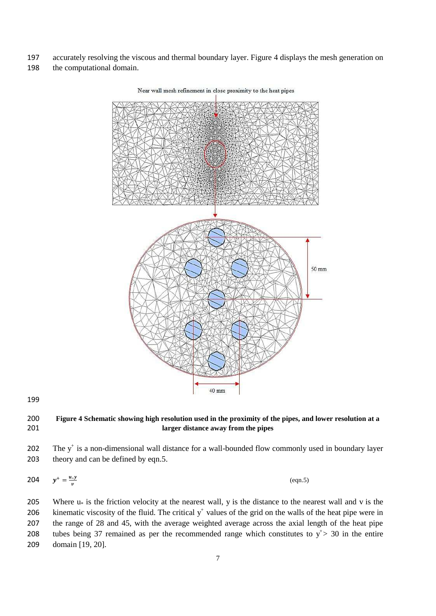- 197 accurately resolving the viscous and thermal boundary layer. Figure 4 displays the mesh generation on
- 198 the computational domain.



# 199

# 200 **Figure 4 Schematic showing high resolution used in the proximity of the pipes, and lower resolution at a**  201 **larger distance away from the pipes**

202 The  $y^+$  is a non-dimensional wall distance for a wall-bounded flow commonly used in boundary layer 203 theory and can be defined by eqn.5.

$$
204 \qquad y^+ = \frac{u, y}{v} \tag{eqn.5}
$$

205 Where  $u_*$  is the friction velocity at the nearest wall, y is the distance to the nearest wall and v is the 206 kinematic viscosity of the fluid. The critical  $y^+$  values of the grid on the walls of the heat pipe were in 207 the range of 28 and 45, with the average weighted average across the axial length of the heat pipe 208 tubes being 37 remained as per the recommended range which constitutes to  $y^+$  > 30 in the entire 209 domain [19, 20].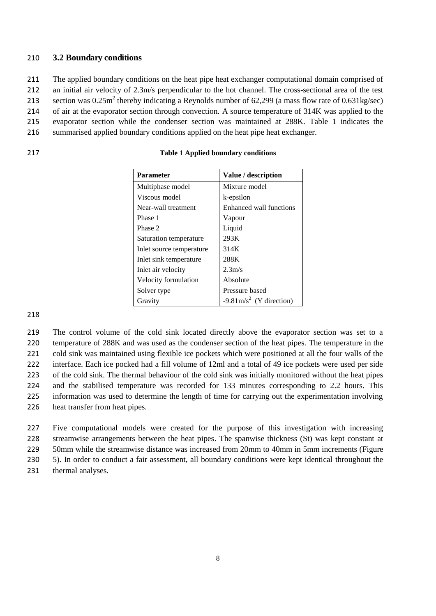# 210 **3.2 Boundary conditions**

211 The applied boundary conditions on the heat pipe heat exchanger computational domain comprised of

212 an initial air velocity of 2.3m/s perpendicular to the hot channel. The cross-sectional area of the test

213 section was  $0.25$ m<sup>2</sup> thereby indicating a Reynolds number of 62,299 (a mass flow rate of 0.631kg/sec) 214 of air at the evaporator section through convection. A source temperature of 314K was applied to the

215 evaporator section while the condenser section was maintained at 288K. Table 1 indicates the

216 summarised applied boundary conditions applied on the heat pipe heat exchanger.

| 217 | <b>Table 1 Applied boundary conditions</b> |
|-----|--------------------------------------------|
|     |                                            |

| <b>Parameter</b>         | Value / description                |  |  |  |  |
|--------------------------|------------------------------------|--|--|--|--|
| Multiphase model         | Mixture model                      |  |  |  |  |
| Viscous model            | k-epsilon                          |  |  |  |  |
| Near-wall treatment      | Enhanced wall functions            |  |  |  |  |
| Phase 1                  | Vapour                             |  |  |  |  |
| Phase 2                  | Liquid                             |  |  |  |  |
| Saturation temperature   | 293K                               |  |  |  |  |
| Inlet source temperature | 314K                               |  |  |  |  |
| Inlet sink temperature   | 288K                               |  |  |  |  |
| Inlet air velocity       | 2.3 <sub>m/s</sub>                 |  |  |  |  |
| Velocity formulation     | Absolute                           |  |  |  |  |
| Solver type              | Pressure based                     |  |  |  |  |
| Gravity                  | $-9.81 \text{m/s}^2$ (Y direction) |  |  |  |  |

218

 The control volume of the cold sink located directly above the evaporator section was set to a temperature of 288K and was used as the condenser section of the heat pipes. The temperature in the cold sink was maintained using flexible ice pockets which were positioned at all the four walls of the interface. Each ice pocked had a fill volume of 12ml and a total of 49 ice pockets were used per side of the cold sink. The thermal behaviour of the cold sink was initially monitored without the heat pipes and the stabilised temperature was recorded for 133 minutes corresponding to 2.2 hours. This information was used to determine the length of time for carrying out the experimentation involving heat transfer from heat pipes.

 Five computational models were created for the purpose of this investigation with increasing streamwise arrangements between the heat pipes. The spanwise thickness (St) was kept constant at 50mm while the streamwise distance was increased from 20mm to 40mm in 5mm increments (Figure 5). In order to conduct a fair assessment, all boundary conditions were kept identical throughout the

231 thermal analyses.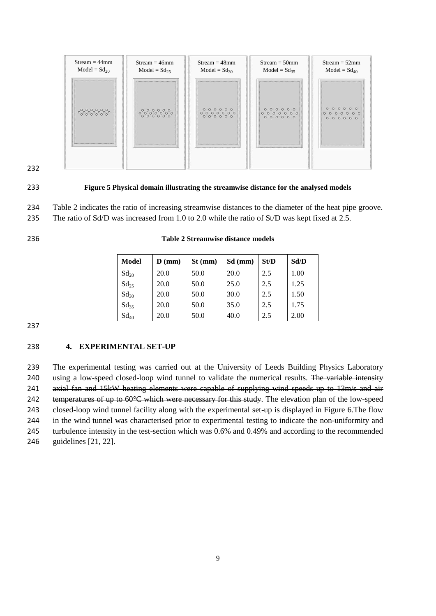



#### 233 **Figure 5 Physical domain illustrating the streamwise distance for the analysed models**

- 234 Table 2 indicates the ratio of increasing streamwise distances to the diameter of the heat pipe groove.
- 235 The ratio of Sd/D was increased from 1.0 to 2.0 while the ratio of St/D was kept fixed at 2.5.

236 **Table 2 Streamwise distance models** 

| Model     | $D$ (mm) | $St$ (mm) | $Sd$ (mm) | St/D | Sd/D |
|-----------|----------|-----------|-----------|------|------|
| $Sd_{20}$ | 20.0     | 50.0      | 20.0      | 2.5  | 1.00 |
| $Sd_{25}$ | 20.0     | 50.0      | 25.0      | 2.5  | 1.25 |
| $Sd_{30}$ | 20.0     | 50.0      | 30.0      | 2.5  | 1.50 |
| $Sd_{35}$ | 20.0     | 50.0      | 35.0      | 2.5  | 1.75 |

 $\text{Sd}_{40}$  | 20.0 | 50.0 | 40.0 | 2.5 | 2.00

237

# 238 **4. EXPERIMENTAL SET-UP**

 The experimental testing was carried out at the University of Leeds Building Physics Laboratory 240 using a low-speed closed-loop wind tunnel to validate the numerical results. The variable intensity 241 axial fan and 15kW heating elements were capable of supplying wind speeds up to 13m/s and air 242 temperatures of up to 60°C which were necessary for this study. The elevation plan of the low-speed closed-loop wind tunnel facility along with the experimental set-up is displayed in Figure 6.The flow in the wind tunnel was characterised prior to experimental testing to indicate the non-uniformity and turbulence intensity in the test-section which was 0.6% and 0.49% and according to the recommended guidelines [21, 22].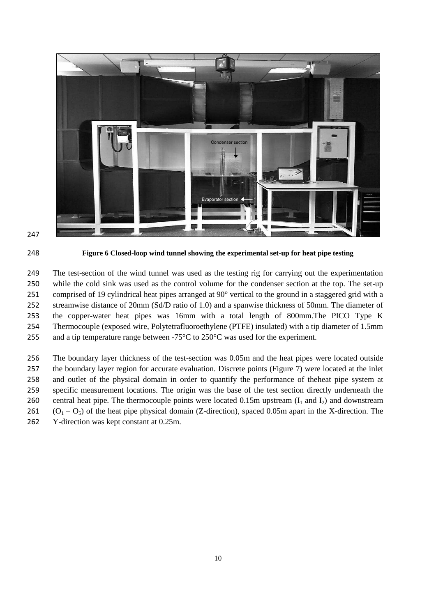





**Figure 6 Closed-loop wind tunnel showing the experimental set-up for heat pipe testing** 

 The test-section of the wind tunnel was used as the testing rig for carrying out the experimentation while the cold sink was used as the control volume for the condenser section at the top. The set-up comprised of 19 cylindrical heat pipes arranged at 90° vertical to the ground in a staggered grid with a streamwise distance of 20mm (Sd/D ratio of 1.0) and a spanwise thickness of 50mm. The diameter of the copper-water heat pipes was 16mm with a total length of 800mm.The PICO Type K Thermocouple (exposed wire, Polytetrafluoroethylene (PTFE) insulated) with a tip diameter of 1.5mm and a tip temperature range between -75°C to 250°C was used for the experiment.

 The boundary layer thickness of the test-section was 0.05m and the heat pipes were located outside the boundary layer region for accurate evaluation. Discrete points (Figure 7) were located at the inlet and outlet of the physical domain in order to quantify the performance of theheat pipe system at specific measurement locations. The origin was the base of the test section directly underneath the 260 central heat pipe. The thermocouple points were located 0.15m upstream  $(I_1 \text{ and } I_2)$  and downstream  $(O_1 - O_5)$  of the heat pipe physical domain (Z-direction), spaced 0.05m apart in the X-direction. The Y-direction was kept constant at 0.25m.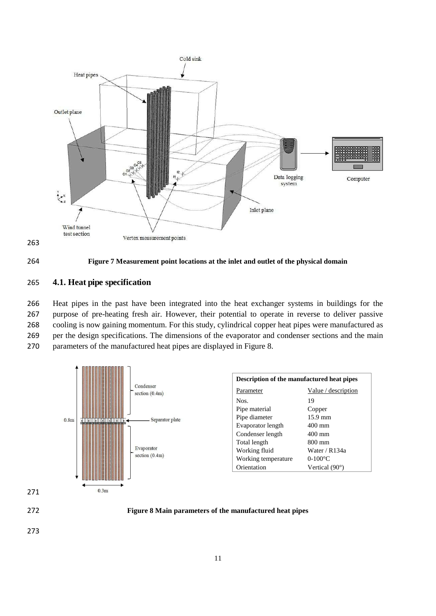





#### 264 **Figure 7 Measurement point locations at the inlet and outlet of the physical domain**

# 265 **4.1. Heat pipe specification**

 Heat pipes in the past have been integrated into the heat exchanger systems in buildings for the purpose of pre-heating fresh air. However, their potential to operate in reverse to deliver passive cooling is now gaining momentum. For this study, cylindrical copper heat pipes were manufactured as per the design specifications. The dimensions of the evaporator and condenser sections and the main parameters of the manufactured heat pipes are displayed in Figure 8.

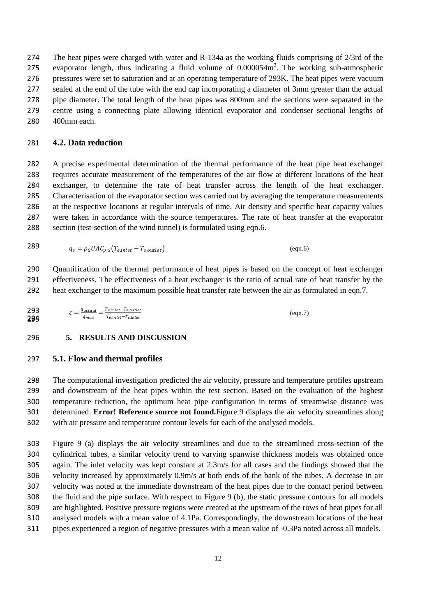The heat pipes were charged with water and R-134a as the working fluids comprising of 2/3rd of the 275 evaporator length, thus indicating a fluid volume of  $0.000054m<sup>3</sup>$ . The working sub-atmospheric pressures were set to saturation and at an operating temperature of 293K. The heat pipes were vacuum sealed at the end of the tube with the end cap incorporating a diameter of 3mm greater than the actual pipe diameter. The total length of the heat pipes was 800mm and the sections were separated in the centre using a connecting plate allowing identical evaporator and condenser sectional lengths of 400mm each.

# **4.2. Data reduction**

 A precise experimental determination of the thermal performance of the heat pipe heat exchanger requires accurate measurement of the temperatures of the air flow at different locations of the heat exchanger, to determine the rate of heat transfer across the length of the heat exchanger. Characterisation of the evaporator section was carried out by averaging the temperature measurements at the respective locations at regular intervals of time. Air density and specific heat capacity values were taken in accordance with the source temperatures. The rate of heat transfer at the evaporator 288 section (test-section of the wind tunnel) is formulated using eqn.6.

$$
q_e = \rho_G U A C_{p,G} (T_{e,inlet} - T_{e,outlet})
$$
 (eqn.6)

 Quantification of the thermal performance of heat pipes is based on the concept of heat exchanger effectiveness. The effectiveness of a heat exchanger is the ratio of actual rate of heat transfer by the heat exchanger to the maximum possible heat transfer rate between the air as formulated in eqn.7.

$$
\mathcal{E} = \frac{q_{actual}}{q_{max}} = \frac{r_{e, inlet} - r_{e, outlet}}{r_{e, inlet} - r_{c, inlet}}
$$
 (eqn.7)

# **5. RESULTS AND DISCUSSION**

#### **5.1. Flow and thermal profiles**

 The computational investigation predicted the air velocity, pressure and temperature profiles upstream and downstream of the heat pipes within the test section. Based on the evaluation of the highest temperature reduction, the optimum heat pipe configuration in terms of streamwise distance was determined. **Error! Reference source not found.**Figure 9 displays the air velocity streamlines along with air pressure and temperature contour levels for each of the analysed models.

 Figure 9 (a) displays the air velocity streamlines and due to the streamlined cross-section of the cylindrical tubes, a similar velocity trend to varying spanwise thickness models was obtained once again. The inlet velocity was kept constant at 2.3m/s for all cases and the findings showed that the velocity increased by approximately 0.9m/s at both ends of the bank of the tubes. A decrease in air velocity was noted at the immediate downstream of the heat pipes due to the contact period between the fluid and the pipe surface. With respect to Figure 9 (b), the static pressure contours for all models are highlighted. Positive pressure regions were created at the upstream of the rows of heat pipes for all analysed models with a mean value of 4.1Pa. Correspondingly, the downstream locations of the heat pipes experienced a region of negative pressures with a mean value of -0.3Pa noted across all models.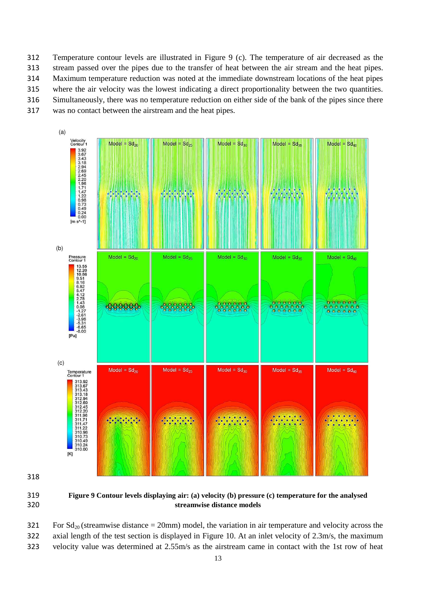Temperature contour levels are illustrated in Figure 9 (c). The temperature of air decreased as the stream passed over the pipes due to the transfer of heat between the air stream and the heat pipes. Maximum temperature reduction was noted at the immediate downstream locations of the heat pipes where the air velocity was the lowest indicating a direct proportionality between the two quantities. Simultaneously, there was no temperature reduction on either side of the bank of the pipes since there was no contact between the airstream and the heat pipes.



 **Figure 9 Contour levels displaying air: (a) velocity (b) pressure (c) temperature for the analysed streamwise distance models** 

321 For  $Sd_{20}$  (streamwise distance = 20mm) model, the variation in air temperature and velocity across the

 axial length of the test section is displayed in Figure 10. At an inlet velocity of 2.3m/s, the maximum velocity value was determined at 2.55m/s as the airstream came in contact with the 1st row of heat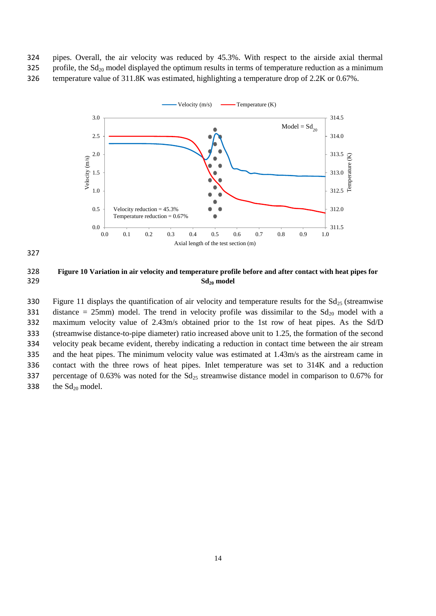324 pipes. Overall, the air velocity was reduced by 45.3%. With respect to the airside axial thermal 325 profile, the  $Sd_{20}$  model displayed the optimum results in terms of temperature reduction as a minimum 326 temperature value of 311.8K was estimated, highlighting a temperature drop of 2.2K or 0.67%.





327

328 **Figure 10 Variation in air velocity and temperature profile before and after contact with heat pipes for**  329 **Sd20 model** 

330 Figure 11 displays the quantification of air velocity and temperature results for the  $Sd_{25}$  (streamwise 331 distance = 25mm) model. The trend in velocity profile was dissimilar to the  $Sd_{20}$  model with a 332 maximum velocity value of 2.43m/s obtained prior to the 1st row of heat pipes. As the Sd/D 333 (streamwise distance-to-pipe diameter) ratio increased above unit to 1.25, the formation of the second 334 velocity peak became evident, thereby indicating a reduction in contact time between the air stream 335 and the heat pipes. The minimum velocity value was estimated at 1.43m/s as the airstream came in 336 contact with the three rows of heat pipes. Inlet temperature was set to 314K and a reduction 337 percentage of 0.63% was noted for the  $Sd_{25}$  streamwise distance model in comparison to 0.67% for 338 the  $Sd_{20}$  model.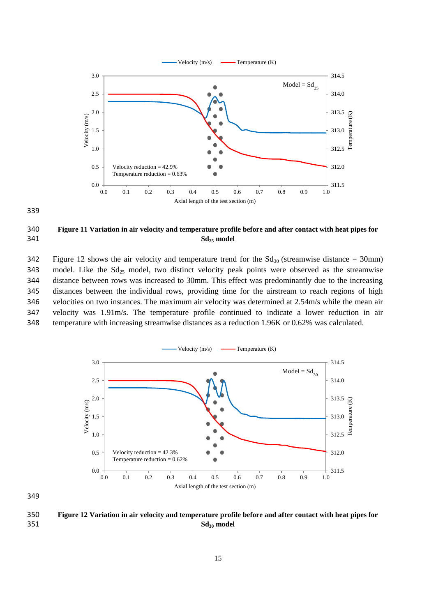



# 340 **Figure 11 Variation in air velocity and temperature profile before and after contact with heat pipes for**  341 **Sd25 model**

342 Figure 12 shows the air velocity and temperature trend for the  $Sd_{30}$  (streamwise distance = 30mm) 343 model. Like the  $Sd_{25}$  model, two distinct velocity peak points were observed as the streamwise distance between rows was increased to 30mm. This effect was predominantly due to the increasing distances between the individual rows, providing time for the airstream to reach regions of high velocities on two instances. The maximum air velocity was determined at 2.54m/s while the mean air velocity was 1.91m/s. The temperature profile continued to indicate a lower reduction in air temperature with increasing streamwise distances as a reduction 1.96K or 0.62% was calculated.



350 **Figure 12 Variation in air velocity and temperature profile before and after contact with heat pipes for**  351 **Sd30 model**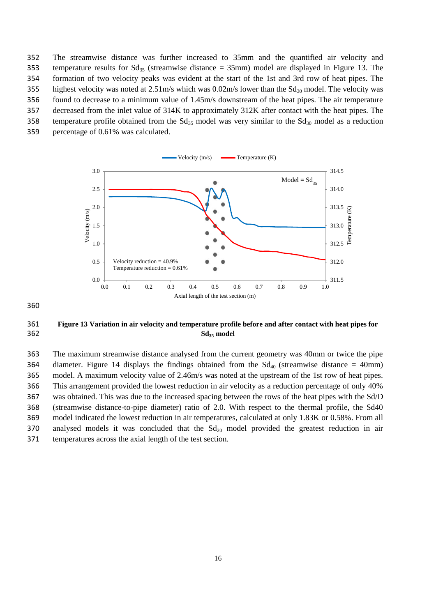The streamwise distance was further increased to 35mm and the quantified air velocity and 353 temperature results for  $Sd_{35}$  (streamwise distance = 35mm) model are displayed in Figure 13. The formation of two velocity peaks was evident at the start of the 1st and 3rd row of heat pipes. The 355 highest velocity was noted at  $2.51 \text{m/s}$  which was  $0.02 \text{m/s}$  lower than the  $Sd_{30}$  model. The velocity was found to decrease to a minimum value of 1.45m/s downstream of the heat pipes. The air temperature decreased from the inlet value of 314K to approximately 312K after contact with the heat pipes. The 358 temperature profile obtained from the  $Sd_{35}$  model was very similar to the  $Sd_{30}$  model as a reduction percentage of 0.61% was calculated.



360

# 361 **Figure 13 Variation in air velocity and temperature profile before and after contact with heat pipes for**  362 **Sd35 model**

 The maximum streamwise distance analysed from the current geometry was 40mm or twice the pipe 364 diameter. Figure 14 displays the findings obtained from the  $Sd_{40}$  (streamwise distance = 40mm) model. A maximum velocity value of 2.46m/s was noted at the upstream of the 1st row of heat pipes. This arrangement provided the lowest reduction in air velocity as a reduction percentage of only 40% was obtained. This was due to the increased spacing between the rows of the heat pipes with the Sd/D (streamwise distance-to-pipe diameter) ratio of 2.0. With respect to the thermal profile, the Sd40 model indicated the lowest reduction in air temperatures, calculated at only 1.83K or 0.58%. From all 370 analysed models it was concluded that the  $Sd_{20}$  model provided the greatest reduction in air temperatures across the axial length of the test section.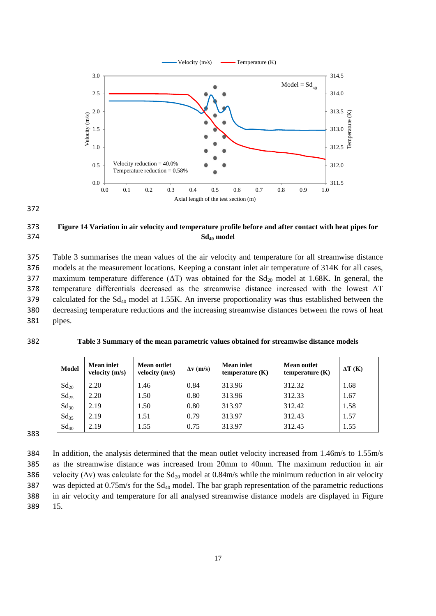

372

# 373 **Figure 14 Variation in air velocity and temperature profile before and after contact with heat pipes for**  374 **Sd40 model**

375 Table 3 summarises the mean values of the air velocity and temperature for all streamwise distance 376 models at the measurement locations. Keeping a constant inlet air temperature of 314K for all cases, 377 maximum temperature difference  $(\Delta T)$  was obtained for the Sd<sub>20</sub> model at 1.68K. In general, the 378 temperature differentials decreased as the streamwise distance increased with the lowest  $\Delta T$ 379 calculated for the Sd<sub>40</sub> model at 1.55K. An inverse proportionality was thus established between the 380 decreasing temperature reductions and the increasing streamwise distances between the rows of heat 381 pipes.

|  | ٠ |
|--|---|
|  | ٠ |

| 382<br>Table 3 Summary of the mean parametric values obtained for streamwise distance models |  |
|----------------------------------------------------------------------------------------------|--|
|                                                                                              |  |
|                                                                                              |  |
|                                                                                              |  |

| <b>Model</b> | <b>Mean inlet</b><br>velocity $(m/s)$ | <b>Mean outlet</b><br>velocity $(m/s)$ | $\Delta v$ (m/s) | <b>Mean inlet</b><br>temperature $(K)$ | <b>Mean outlet</b><br>temperature $(K)$ | $\Delta T$ (K) |
|--------------|---------------------------------------|----------------------------------------|------------------|----------------------------------------|-----------------------------------------|----------------|
| $Sd_{20}$    | 2.20                                  | 1.46                                   | 0.84             | 313.96                                 | 312.32                                  | 1.68           |
| $Sd_{25}$    | 2.20                                  | 1.50                                   | 0.80             | 313.96                                 | 312.33                                  | 1.67           |
| $Sd_{30}$    | 2.19                                  | 1.50                                   | 0.80             | 313.97                                 | 312.42                                  | 1.58           |
| $Sd_{35}$    | 2.19                                  | 1.51                                   | 0.79             | 313.97                                 | 312.43                                  | 1.57           |
| $Sd_{40}$    | 2.19                                  | 1.55                                   | 0.75             | 313.97                                 | 312.45                                  | 1.55           |

383

384 In addition, the analysis determined that the mean outlet velocity increased from 1.46m/s to 1.55m/s 385 as the streamwise distance was increased from 20mm to 40mm. The maximum reduction in air 386 velocity ( $\Delta v$ ) was calculate for the Sd<sub>20</sub> model at 0.84m/s while the minimum reduction in air velocity 387 was depicted at  $0.75$ m/s for the  $Sd_{40}$  model. The bar graph representation of the parametric reductions 388 in air velocity and temperature for all analysed streamwise distance models are displayed in Figure 389 15.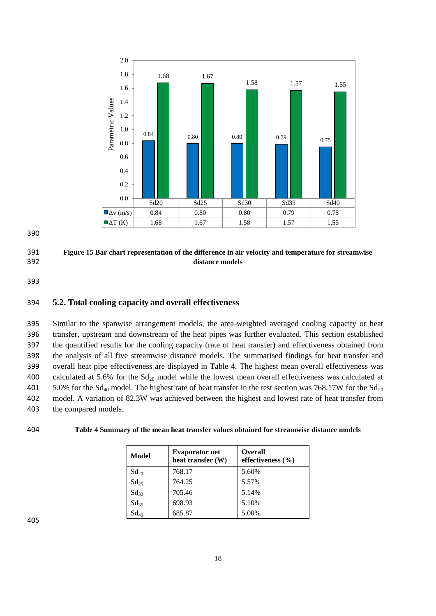

390

# 391 **Figure 15 Bar chart representation of the difference in air velocity and temperature for streamwise**  392 **distance models**

393

# 394 **5.2. Total cooling capacity and overall effectiveness**

 Similar to the spanwise arrangement models, the area-weighted averaged cooling capacity or heat transfer, upstream and downstream of the heat pipes was further evaluated. This section established the quantified results for the cooling capacity (rate of heat transfer) and effectiveness obtained from the analysis of all five streamwise distance models. The summarised findings for heat transfer and overall heat pipe effectiveness are displayed in Table 4. The highest mean overall effectiveness was 400 calculated at 5.6% for the  $Sd_{20}$  model while the lowest mean overall effectiveness was calculated at 401 5.0% for the  $Sd_{40}$  model. The highest rate of heat transfer in the test section was 768.17W for the  $Sd_{20}$  model. A variation of 82.3W was achieved between the highest and lowest rate of heat transfer from the compared models.

## 404 **Table 4 Summary of the mean heat transfer values obtained for streamwise distance models**

| <b>Model</b>  | <b>Evaporator net</b><br>heat transfer (W) | <b>Overall</b><br>effectiveness $(\% )$ |  |  |
|---------------|--------------------------------------------|-----------------------------------------|--|--|
| $Sd_{20}$     | 768.17                                     | 5.60%                                   |  |  |
| $Sd_{25}$     | 764.25                                     | 5.57%                                   |  |  |
| $Sd_{30}$     | 705.46                                     | 5.14%                                   |  |  |
| $Sd_{35}$     | 698.93                                     | 5.10%                                   |  |  |
| $\rm Sd_{40}$ | 685.87                                     | 5.00%                                   |  |  |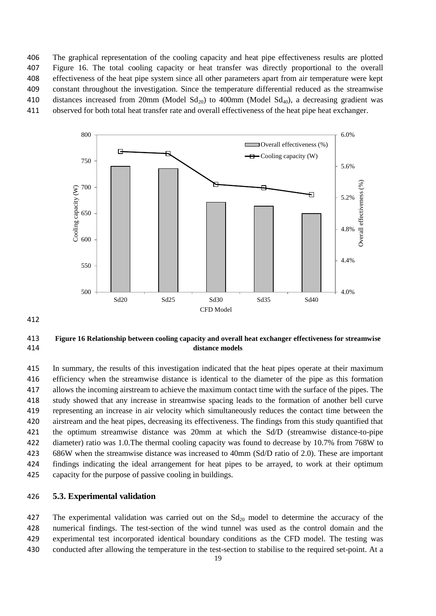The graphical representation of the cooling capacity and heat pipe effectiveness results are plotted Figure 16. The total cooling capacity or heat transfer was directly proportional to the overall effectiveness of the heat pipe system since all other parameters apart from air temperature were kept constant throughout the investigation. Since the temperature differential reduced as the streamwise 410 distances increased from 20mm (Model  $Sd_{20}$ ) to 400mm (Model  $Sd_{40}$ ), a decreasing gradient was observed for both total heat transfer rate and overall effectiveness of the heat pipe heat exchanger.



# **Figure 16 Relationship between cooling capacity and overall heat exchanger effectiveness for streamwise distance models**

 In summary, the results of this investigation indicated that the heat pipes operate at their maximum efficiency when the streamwise distance is identical to the diameter of the pipe as this formation allows the incoming airstream to achieve the maximum contact time with the surface of the pipes. The study showed that any increase in streamwise spacing leads to the formation of another bell curve representing an increase in air velocity which simultaneously reduces the contact time between the airstream and the heat pipes, decreasing its effectiveness. The findings from this study quantified that the optimum streamwise distance was 20mm at which the Sd/D (streamwise distance-to-pipe diameter) ratio was 1.0.The thermal cooling capacity was found to decrease by 10.7% from 768W to 686W when the streamwise distance was increased to 40mm (Sd/D ratio of 2.0). These are important findings indicating the ideal arrangement for heat pipes to be arrayed, to work at their optimum capacity for the purpose of passive cooling in buildings.

# **5.3. Experimental validation**

427 The experimental validation was carried out on the  $Sd_{20}$  model to determine the accuracy of the numerical findings. The test-section of the wind tunnel was used as the control domain and the experimental test incorporated identical boundary conditions as the CFD model. The testing was conducted after allowing the temperature in the test-section to stabilise to the required set-point. At a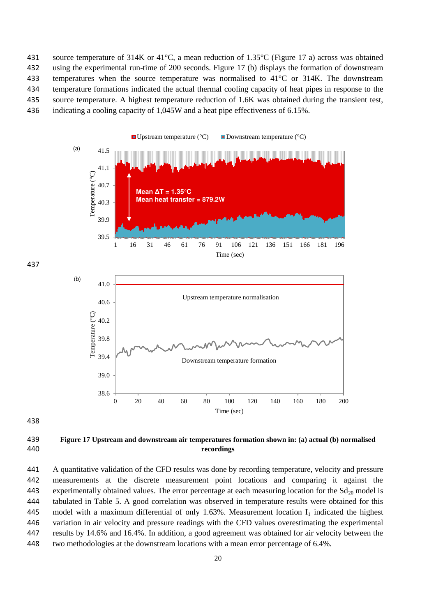source temperature of 314K or 41°C, a mean reduction of 1.35°C (Figure 17 a) across was obtained using the experimental run-time of 200 seconds. Figure 17 (b) displays the formation of downstream temperatures when the source temperature was normalised to 41°C or 314K. The downstream temperature formations indicated the actual thermal cooling capacity of heat pipes in response to the source temperature. A highest temperature reduction of 1.6K was obtained during the transient test, indicating a cooling capacity of 1,045W and a heat pipe effectiveness of 6.15%.



437



438

# 439 **Figure 17 Upstream and downstream air temperatures formation shown in: (a) actual (b) normalised**  440 **recordings**

 A quantitative validation of the CFD results was done by recording temperature, velocity and pressure measurements at the discrete measurement point locations and comparing it against the 443 experimentally obtained values. The error percentage at each measuring location for the  $Sd_{20}$  model is tabulated in Table 5. A good correlation was observed in temperature results were obtained for this 445 model with a maximum differential of only 1.63%. Measurement location  $I_1$  indicated the highest variation in air velocity and pressure readings with the CFD values overestimating the experimental results by 14.6% and 16.4%. In addition, a good agreement was obtained for air velocity between the two methodologies at the downstream locations with a mean error percentage of 6.4%.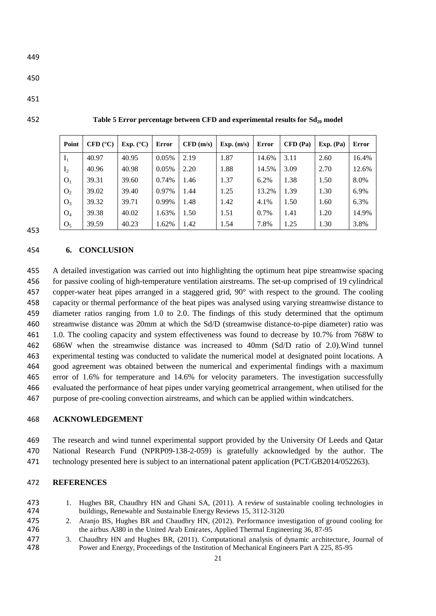| Point          | CFD (°C) | Exp. $(^{\circ}C)$ | <b>Error</b> | CFD(m/s) | Exp. (m/s) | Error | $CFD$ (Pa) | Exp. (Pa) | <b>Error</b> |
|----------------|----------|--------------------|--------------|----------|------------|-------|------------|-----------|--------------|
| $I_1$          | 40.97    | 40.95              | 0.05%        | 2.19     | 1.87       | 14.6% | 3.11       | 2.60      | 16.4%        |
| I <sub>2</sub> | 40.96    | 40.98              | 0.05%        | 2.20     | 1.88       | 14.5% | 3.09       | 2.70      | 12.6%        |
| O <sub>1</sub> | 39.31    | 39.60              | 0.74%        | 1.46     | 1.37       | 6.2%  | 1.38       | 1.50      | 8.0%         |
| O <sub>2</sub> | 39.02    | 39.40              | 0.97%        | 1.44     | 1.25       | 13.2% | 1.39       | 1.30      | 6.9%         |
| $O_3$          | 39.32    | 39.71              | 0.99%        | 1.48     | 1.42       | 4.1%  | 1.50       | 1.60      | 6.3%         |
| $O_4$          | 39.38    | 40.02              | 1.63%        | 1.50     | 1.51       | 0.7%  | 1.41       | 1.20      | 14.9%        |
| O <sub>5</sub> | 39.59    | 40.23              | 1.62%        | 1.42     | 1.54       | 7.8%  | 1.25       | 1.30      | 3.8%         |

**Table 5 Error percentage between CFD and experimental results for Sd20 model** 

#### **6. CONCLUSION**

 A detailed investigation was carried out into highlighting the optimum heat pipe streamwise spacing for passive cooling of high-temperature ventilation airstreams. The set-up comprised of 19 cylindrical copper-water heat pipes arranged in a staggered grid, 90° with respect to the ground. The cooling capacity or thermal performance of the heat pipes was analysed using varying streamwise distance to diameter ratios ranging from 1.0 to 2.0. The findings of this study determined that the optimum streamwise distance was 20mm at which the Sd/D (streamwise distance-to-pipe diameter) ratio was 1.0. The cooling capacity and system effectiveness was found to decrease by 10.7% from 768W to 686W when the streamwise distance was increased to 40mm (Sd/D ratio of 2.0).Wind tunnel experimental testing was conducted to validate the numerical model at designated point locations. A good agreement was obtained between the numerical and experimental findings with a maximum error of 1.6% for temperature and 14.6% for velocity parameters. The investigation successfully evaluated the performance of heat pipes under varying geometrical arrangement, when utilised for the purpose of pre-cooling convection airstreams, and which can be applied within windcatchers.

# **ACKNOWLEDGEMENT**

 The research and wind tunnel experimental support provided by the University Of Leeds and Qatar National Research Fund (NPRP09-138-2-059) is gratefully acknowledged by the author. The technology presented here is subject to an international patent application (PCT/GB2014/052263).

#### **REFERENCES**

- 1. Hughes BR, Chaudhry HN and Ghani SA, (2011). A review of sustainable cooling technologies in buildings, Renewable and Sustainable Energy Reviews 15, 3112-3120
- 2. Aranjo BS, Hughes BR and Chaudhry HN, (2012). Performance investigation of ground cooling for the airbus A380 in the United Arab Emirates, Applied Thermal Engineering 36, 87-95
- 3. Chaudhry HN and Hughes BR, (2011). Computational analysis of dynamic architecture, Journal of Power and Energy, Proceedings of the Institution of Mechanical Engineers Part A 225, 85-95